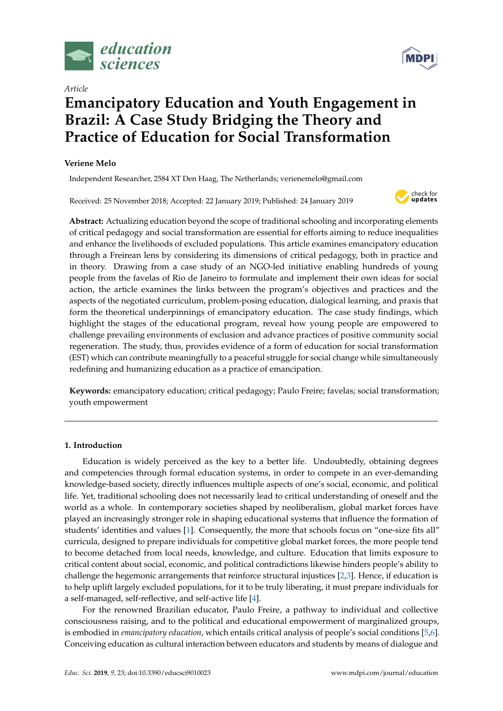

*Article*

# **Emancipatory Education and Youth Engagement in Brazil: A Case Study Bridging the Theory and Practice of Education for Social Transformation**

# **Veriene Melo**

Independent Researcher, 2584 XT Den Haag, The Netherlands; verienemelo@gmail.com

Received: 25 November 2018; Accepted: 22 January 2019; Published: 24 January 2019



**Abstract:** Actualizing education beyond the scope of traditional schooling and incorporating elements of critical pedagogy and social transformation are essential for efforts aiming to reduce inequalities and enhance the livelihoods of excluded populations. This article examines emancipatory education through a Freirean lens by considering its dimensions of critical pedagogy, both in practice and in theory. Drawing from a case study of an NGO-led initiative enabling hundreds of young people from the favelas of Rio de Janeiro to formulate and implement their own ideas for social action, the article examines the links between the program's objectives and practices and the aspects of the negotiated curriculum, problem-posing education, dialogical learning, and praxis that form the theoretical underpinnings of emancipatory education. The case study findings, which highlight the stages of the educational program, reveal how young people are empowered to challenge prevailing environments of exclusion and advance practices of positive community social regeneration. The study, thus, provides evidence of a form of education for social transformation (EST) which can contribute meaningfully to a peaceful struggle for social change while simultaneously redefining and humanizing education as a practice of emancipation.

**Keywords:** emancipatory education; critical pedagogy; Paulo Freire; favelas; social transformation; youth empowerment

## **1. Introduction**

Education is widely perceived as the key to a better life. Undoubtedly, obtaining degrees and competencies through formal education systems, in order to compete in an ever-demanding knowledge-based society, directly influences multiple aspects of one's social, economic, and political life. Yet, traditional schooling does not necessarily lead to critical understanding of oneself and the world as a whole. In contemporary societies shaped by neoliberalism, global market forces have played an increasingly stronger role in shaping educational systems that influence the formation of students' identities and values [\[1\]](#page-12-0). Consequently, the more that schools focus on "one-size fits all" curricula, designed to prepare individuals for competitive global market forces, the more people tend to become detached from local needs, knowledge, and culture. Education that limits exposure to critical content about social, economic, and political contradictions likewise hinders people's ability to challenge the hegemonic arrangements that reinforce structural injustices [\[2](#page-12-1)[,3\]](#page-12-2). Hence, if education is to help uplift largely excluded populations, for it to be truly liberating, it must prepare individuals for a self-managed, self-reflective, and self-active life [\[4\]](#page-12-3).

For the renowned Brazilian educator, Paulo Freire, a pathway to individual and collective consciousness raising, and to the political and educational empowerment of marginalized groups, is embodied in *emancipatory education*, which entails critical analysis of people's social conditions [\[5](#page-12-4)[,6\]](#page-12-5). Conceiving education as cultural interaction between educators and students by means of dialogue and

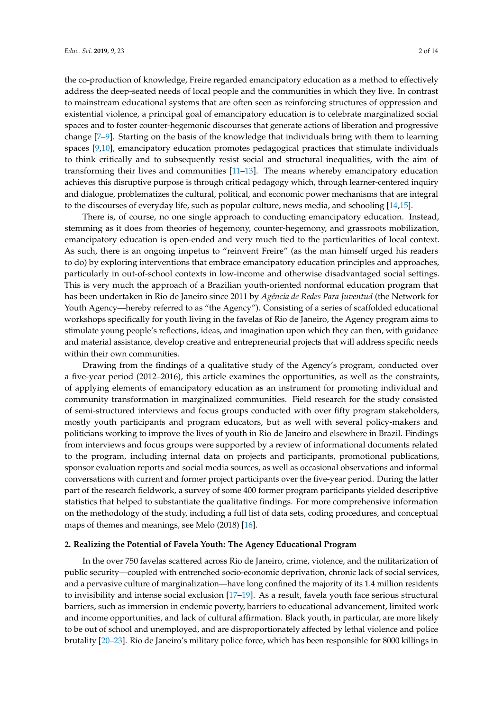the co-production of knowledge, Freire regarded emancipatory education as a method to effectively address the deep-seated needs of local people and the communities in which they live. In contrast to mainstream educational systems that are often seen as reinforcing structures of oppression and existential violence, a principal goal of emancipatory education is to celebrate marginalized social spaces and to foster counter-hegemonic discourses that generate actions of liberation and progressive change [\[7–](#page-12-6)[9\]](#page-12-7). Starting on the basis of the knowledge that individuals bring with them to learning spaces [\[9,](#page-12-7)[10\]](#page-12-8), emancipatory education promotes pedagogical practices that stimulate individuals to think critically and to subsequently resist social and structural inequalities, with the aim of transforming their lives and communities [\[11–](#page-12-9)[13\]](#page-12-10). The means whereby emancipatory education achieves this disruptive purpose is through critical pedagogy which, through learner-centered inquiry and dialogue, problematizes the cultural, political, and economic power mechanisms that are integral to the discourses of everyday life, such as popular culture, news media, and schooling [\[14](#page-12-11)[,15\]](#page-12-12).

There is, of course, no one single approach to conducting emancipatory education. Instead, stemming as it does from theories of hegemony, counter-hegemony, and grassroots mobilization, emancipatory education is open-ended and very much tied to the particularities of local context. As such, there is an ongoing impetus to "reinvent Freire" (as the man himself urged his readers to do) by exploring interventions that embrace emancipatory education principles and approaches, particularly in out-of-school contexts in low-income and otherwise disadvantaged social settings. This is very much the approach of a Brazilian youth-oriented nonformal education program that has been undertaken in Rio de Janeiro since 2011 by *Agência de Redes Para Juventud* (the Network for Youth Agency—hereby referred to as "the Agency"). Consisting of a series of scaffolded educational workshops specifically for youth living in the favelas of Rio de Janeiro, the Agency program aims to stimulate young people's reflections, ideas, and imagination upon which they can then, with guidance and material assistance, develop creative and entrepreneurial projects that will address specific needs within their own communities.

Drawing from the findings of a qualitative study of the Agency's program, conducted over a five-year period (2012–2016), this article examines the opportunities, as well as the constraints, of applying elements of emancipatory education as an instrument for promoting individual and community transformation in marginalized communities. Field research for the study consisted of semi-structured interviews and focus groups conducted with over fifty program stakeholders, mostly youth participants and program educators, but as well with several policy-makers and politicians working to improve the lives of youth in Rio de Janeiro and elsewhere in Brazil. Findings from interviews and focus groups were supported by a review of informational documents related to the program, including internal data on projects and participants, promotional publications, sponsor evaluation reports and social media sources, as well as occasional observations and informal conversations with current and former project participants over the five-year period. During the latter part of the research fieldwork, a survey of some 400 former program participants yielded descriptive statistics that helped to substantiate the qualitative findings. For more comprehensive information on the methodology of the study, including a full list of data sets, coding procedures, and conceptual maps of themes and meanings, see Melo (2018) [\[16\]](#page-12-13).

#### **2. Realizing the Potential of Favela Youth: The Agency Educational Program**

In the over 750 favelas scattered across Rio de Janeiro, crime, violence, and the militarization of public security—coupled with entrenched socio-economic deprivation, chronic lack of social services, and a pervasive culture of marginalization—have long confined the majority of its 1.4 million residents to invisibility and intense social exclusion [\[17](#page-12-14)[–19\]](#page-12-15). As a result, favela youth face serious structural barriers, such as immersion in endemic poverty, barriers to educational advancement, limited work and income opportunities, and lack of cultural affirmation. Black youth, in particular, are more likely to be out of school and unemployed, and are disproportionately affected by lethal violence and police brutality [\[20–](#page-12-16)[23\]](#page-12-17). Rio de Janeiro's military police force, which has been responsible for 8000 killings in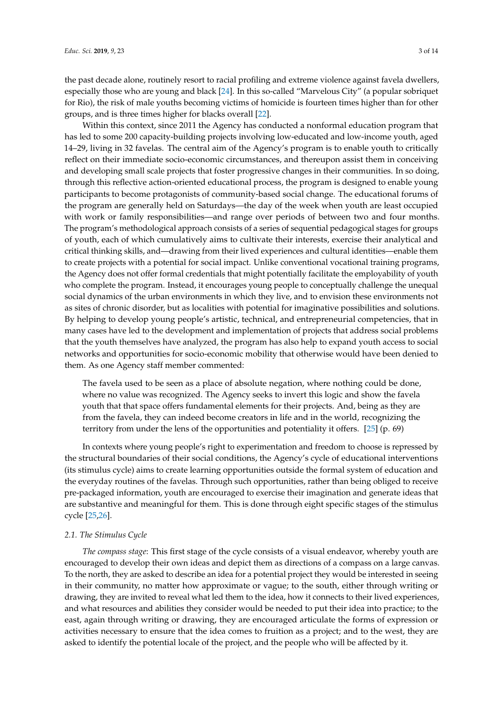the past decade alone, routinely resort to racial profiling and extreme violence against favela dwellers, especially those who are young and black [\[24\]](#page-12-18). In this so-called "Marvelous City" (a popular sobriquet for Rio), the risk of male youths becoming victims of homicide is fourteen times higher than for other groups, and is three times higher for blacks overall [\[22\]](#page-12-19).

Within this context, since 2011 the Agency has conducted a nonformal education program that has led to some 200 capacity-building projects involving low-educated and low-income youth, aged 14–29, living in 32 favelas. The central aim of the Agency's program is to enable youth to critically reflect on their immediate socio-economic circumstances, and thereupon assist them in conceiving and developing small scale projects that foster progressive changes in their communities. In so doing, through this reflective action-oriented educational process, the program is designed to enable young participants to become protagonists of community-based social change. The educational forums of the program are generally held on Saturdays—the day of the week when youth are least occupied with work or family responsibilities—and range over periods of between two and four months. The program's methodological approach consists of a series of sequential pedagogical stages for groups of youth, each of which cumulatively aims to cultivate their interests, exercise their analytical and critical thinking skills, and—drawing from their lived experiences and cultural identities—enable them to create projects with a potential for social impact. Unlike conventional vocational training programs, the Agency does not offer formal credentials that might potentially facilitate the employability of youth who complete the program. Instead, it encourages young people to conceptually challenge the unequal social dynamics of the urban environments in which they live, and to envision these environments not as sites of chronic disorder, but as localities with potential for imaginative possibilities and solutions. By helping to develop young people's artistic, technical, and entrepreneurial competencies, that in many cases have led to the development and implementation of projects that address social problems that the youth themselves have analyzed, the program has also help to expand youth access to social networks and opportunities for socio-economic mobility that otherwise would have been denied to them. As one Agency staff member commented:

The favela used to be seen as a place of absolute negation, where nothing could be done, where no value was recognized. The Agency seeks to invert this logic and show the favela youth that that space offers fundamental elements for their projects. And, being as they are from the favela, they can indeed become creators in life and in the world, recognizing the territory from under the lens of the opportunities and potentiality it offers. [\[25\]](#page-12-20) (p. 69)

In contexts where young people's right to experimentation and freedom to choose is repressed by the structural boundaries of their social conditions, the Agency's cycle of educational interventions (its stimulus cycle) aims to create learning opportunities outside the formal system of education and the everyday routines of the favelas. Through such opportunities, rather than being obliged to receive pre-packaged information, youth are encouraged to exercise their imagination and generate ideas that are substantive and meaningful for them. This is done through eight specific stages of the stimulus cycle [\[25](#page-12-20)[,26\]](#page-12-21).

#### *2.1. The Stimulus Cycle*

*The compass stage*: This first stage of the cycle consists of a visual endeavor, whereby youth are encouraged to develop their own ideas and depict them as directions of a compass on a large canvas. To the north, they are asked to describe an idea for a potential project they would be interested in seeing in their community, no matter how approximate or vague; to the south, either through writing or drawing, they are invited to reveal what led them to the idea, how it connects to their lived experiences, and what resources and abilities they consider would be needed to put their idea into practice; to the east, again through writing or drawing, they are encouraged articulate the forms of expression or activities necessary to ensure that the idea comes to fruition as a project; and to the west, they are asked to identify the potential locale of the project, and the people who will be affected by it.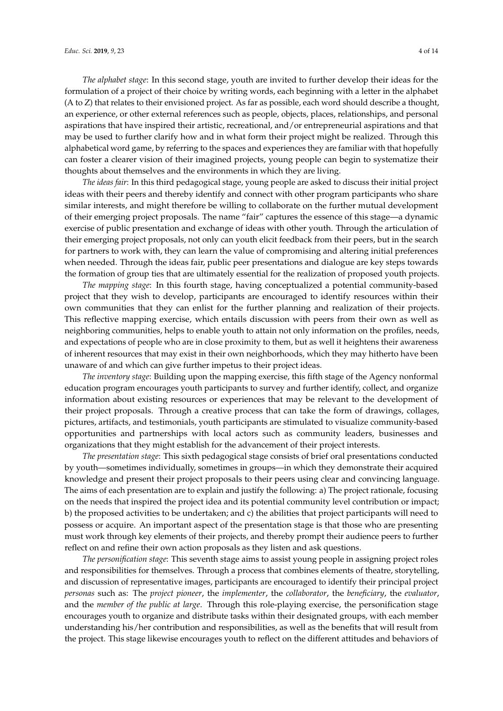*The alphabet stage*: In this second stage, youth are invited to further develop their ideas for the formulation of a project of their choice by writing words, each beginning with a letter in the alphabet (A to Z) that relates to their envisioned project. As far as possible, each word should describe a thought, an experience, or other external references such as people, objects, places, relationships, and personal aspirations that have inspired their artistic, recreational, and/or entrepreneurial aspirations and that may be used to further clarify how and in what form their project might be realized. Through this alphabetical word game, by referring to the spaces and experiences they are familiar with that hopefully can foster a clearer vision of their imagined projects, young people can begin to systematize their thoughts about themselves and the environments in which they are living.

*The ideas fair*: In this third pedagogical stage, young people are asked to discuss their initial project ideas with their peers and thereby identify and connect with other program participants who share similar interests, and might therefore be willing to collaborate on the further mutual development of their emerging project proposals. The name "fair" captures the essence of this stage—a dynamic exercise of public presentation and exchange of ideas with other youth. Through the articulation of their emerging project proposals, not only can youth elicit feedback from their peers, but in the search for partners to work with, they can learn the value of compromising and altering initial preferences when needed. Through the ideas fair, public peer presentations and dialogue are key steps towards the formation of group ties that are ultimately essential for the realization of proposed youth projects.

*The mapping stage*: In this fourth stage, having conceptualized a potential community-based project that they wish to develop, participants are encouraged to identify resources within their own communities that they can enlist for the further planning and realization of their projects. This reflective mapping exercise, which entails discussion with peers from their own as well as neighboring communities, helps to enable youth to attain not only information on the profiles, needs, and expectations of people who are in close proximity to them, but as well it heightens their awareness of inherent resources that may exist in their own neighborhoods, which they may hitherto have been unaware of and which can give further impetus to their project ideas.

*The inventory stage*: Building upon the mapping exercise, this fifth stage of the Agency nonformal education program encourages youth participants to survey and further identify, collect, and organize information about existing resources or experiences that may be relevant to the development of their project proposals. Through a creative process that can take the form of drawings, collages, pictures, artifacts, and testimonials, youth participants are stimulated to visualize community-based opportunities and partnerships with local actors such as community leaders, businesses and organizations that they might establish for the advancement of their project interests.

*The presentation stage*: This sixth pedagogical stage consists of brief oral presentations conducted by youth—sometimes individually, sometimes in groups—in which they demonstrate their acquired knowledge and present their project proposals to their peers using clear and convincing language. The aims of each presentation are to explain and justify the following: a) The project rationale, focusing on the needs that inspired the project idea and its potential community level contribution or impact; b) the proposed activities to be undertaken; and c) the abilities that project participants will need to possess or acquire. An important aspect of the presentation stage is that those who are presenting must work through key elements of their projects, and thereby prompt their audience peers to further reflect on and refine their own action proposals as they listen and ask questions.

*The personification stage*: This seventh stage aims to assist young people in assigning project roles and responsibilities for themselves. Through a process that combines elements of theatre, storytelling, and discussion of representative images, participants are encouraged to identify their principal project *personas* such as: The *project pioneer*, the *implementer*, the *collaborator*, the *beneficiary*, the *evaluator*, and the *member of the public at large*. Through this role-playing exercise, the personification stage encourages youth to organize and distribute tasks within their designated groups, with each member understanding his/her contribution and responsibilities, as well as the benefits that will result from the project. This stage likewise encourages youth to reflect on the different attitudes and behaviors of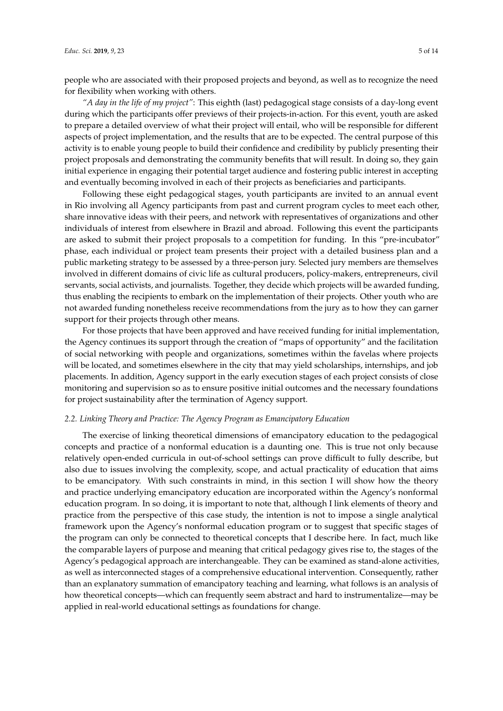people who are associated with their proposed projects and beyond, as well as to recognize the need for flexibility when working with others.

*"A day in the life of my project"*: This eighth (last) pedagogical stage consists of a day-long event during which the participants offer previews of their projects-in-action. For this event, youth are asked to prepare a detailed overview of what their project will entail, who will be responsible for different aspects of project implementation, and the results that are to be expected. The central purpose of this activity is to enable young people to build their confidence and credibility by publicly presenting their project proposals and demonstrating the community benefits that will result. In doing so, they gain initial experience in engaging their potential target audience and fostering public interest in accepting and eventually becoming involved in each of their projects as beneficiaries and participants.

Following these eight pedagogical stages, youth participants are invited to an annual event in Rio involving all Agency participants from past and current program cycles to meet each other, share innovative ideas with their peers, and network with representatives of organizations and other individuals of interest from elsewhere in Brazil and abroad. Following this event the participants are asked to submit their project proposals to a competition for funding. In this "pre-incubator" phase, each individual or project team presents their project with a detailed business plan and a public marketing strategy to be assessed by a three-person jury. Selected jury members are themselves involved in different domains of civic life as cultural producers, policy-makers, entrepreneurs, civil servants, social activists, and journalists. Together, they decide which projects will be awarded funding, thus enabling the recipients to embark on the implementation of their projects. Other youth who are not awarded funding nonetheless receive recommendations from the jury as to how they can garner support for their projects through other means.

For those projects that have been approved and have received funding for initial implementation, the Agency continues its support through the creation of "maps of opportunity" and the facilitation of social networking with people and organizations, sometimes within the favelas where projects will be located, and sometimes elsewhere in the city that may yield scholarships, internships, and job placements. In addition, Agency support in the early execution stages of each project consists of close monitoring and supervision so as to ensure positive initial outcomes and the necessary foundations for project sustainability after the termination of Agency support.

#### *2.2. Linking Theory and Practice: The Agency Program as Emancipatory Education*

The exercise of linking theoretical dimensions of emancipatory education to the pedagogical concepts and practice of a nonformal education is a daunting one. This is true not only because relatively open-ended curricula in out-of-school settings can prove difficult to fully describe, but also due to issues involving the complexity, scope, and actual practicality of education that aims to be emancipatory. With such constraints in mind, in this section I will show how the theory and practice underlying emancipatory education are incorporated within the Agency's nonformal education program. In so doing, it is important to note that, although I link elements of theory and practice from the perspective of this case study, the intention is not to impose a single analytical framework upon the Agency's nonformal education program or to suggest that specific stages of the program can only be connected to theoretical concepts that I describe here. In fact, much like the comparable layers of purpose and meaning that critical pedagogy gives rise to, the stages of the Agency's pedagogical approach are interchangeable. They can be examined as stand-alone activities, as well as interconnected stages of a comprehensive educational intervention. Consequently, rather than an explanatory summation of emancipatory teaching and learning, what follows is an analysis of how theoretical concepts—which can frequently seem abstract and hard to instrumentalize—may be applied in real-world educational settings as foundations for change.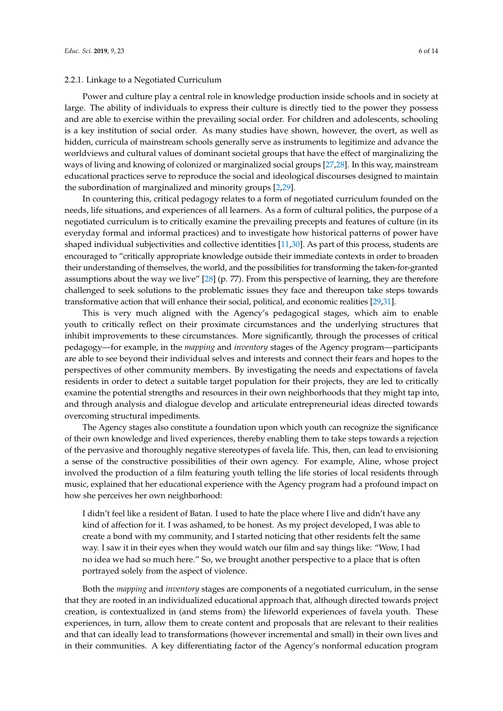#### 2.2.1. Linkage to a Negotiated Curriculum

Power and culture play a central role in knowledge production inside schools and in society at large. The ability of individuals to express their culture is directly tied to the power they possess and are able to exercise within the prevailing social order. For children and adolescents, schooling is a key institution of social order. As many studies have shown, however, the overt, as well as hidden, curricula of mainstream schools generally serve as instruments to legitimize and advance the worldviews and cultural values of dominant societal groups that have the effect of marginalizing the ways of living and knowing of colonized or marginalized social groups [\[27](#page-12-22)[,28\]](#page-13-0). In this way, mainstream educational practices serve to reproduce the social and ideological discourses designed to maintain the subordination of marginalized and minority groups [\[2,](#page-12-1)[29\]](#page-13-1).

In countering this, critical pedagogy relates to a form of negotiated curriculum founded on the needs, life situations, and experiences of all learners. As a form of cultural politics, the purpose of a negotiated curriculum is to critically examine the prevailing precepts and features of culture (in its everyday formal and informal practices) and to investigate how historical patterns of power have shaped individual subjectivities and collective identities [\[11,](#page-12-9)[30\]](#page-13-2). As part of this process, students are encouraged to "critically appropriate knowledge outside their immediate contexts in order to broaden their understanding of themselves, the world, and the possibilities for transforming the taken-for-granted assumptions about the way we live" [\[28\]](#page-13-0) (p. 77). From this perspective of learning, they are therefore challenged to seek solutions to the problematic issues they face and thereupon take steps towards transformative action that will enhance their social, political, and economic realities [\[29,](#page-13-1)[31\]](#page-13-3).

This is very much aligned with the Agency's pedagogical stages, which aim to enable youth to critically reflect on their proximate circumstances and the underlying structures that inhibit improvements to these circumstances. More significantly, through the processes of critical pedagogy—for example, in the *mapping* and *inventory* stages of the Agency program—participants are able to see beyond their individual selves and interests and connect their fears and hopes to the perspectives of other community members. By investigating the needs and expectations of favela residents in order to detect a suitable target population for their projects, they are led to critically examine the potential strengths and resources in their own neighborhoods that they might tap into, and through analysis and dialogue develop and articulate entrepreneurial ideas directed towards overcoming structural impediments.

The Agency stages also constitute a foundation upon which youth can recognize the significance of their own knowledge and lived experiences, thereby enabling them to take steps towards a rejection of the pervasive and thoroughly negative stereotypes of favela life. This, then, can lead to envisioning a sense of the constructive possibilities of their own agency. For example, Aline, whose project involved the production of a film featuring youth telling the life stories of local residents through music, explained that her educational experience with the Agency program had a profound impact on how she perceives her own neighborhood:

I didn't feel like a resident of Batan. I used to hate the place where I live and didn't have any kind of affection for it. I was ashamed, to be honest. As my project developed, I was able to create a bond with my community, and I started noticing that other residents felt the same way. I saw it in their eyes when they would watch our film and say things like: "Wow, I had no idea we had so much here." So, we brought another perspective to a place that is often portrayed solely from the aspect of violence.

Both the *mapping* and *inventory* stages are components of a negotiated curriculum, in the sense that they are rooted in an individualized educational approach that, although directed towards project creation, is contextualized in (and stems from) the lifeworld experiences of favela youth. These experiences, in turn, allow them to create content and proposals that are relevant to their realities and that can ideally lead to transformations (however incremental and small) in their own lives and in their communities. A key differentiating factor of the Agency's nonformal education program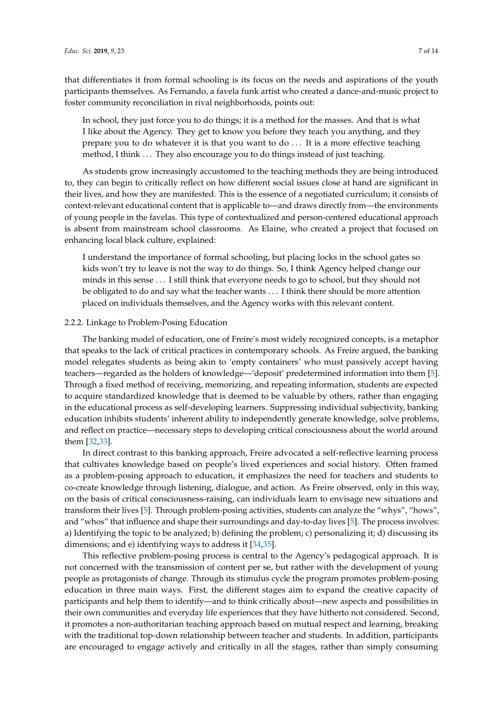that differentiates it from formal schooling is its focus on the needs and aspirations of the youth participants themselves. As Fernando, a favela funk artist who created a dance-and-music project to foster community reconciliation in rival neighborhoods, points out:

In school, they just force you to do things; it is a method for the masses. And that is what I like about the Agency. They get to know you before they teach you anything, and they prepare you to do whatever it is that you want to do . . . It is a more effective teaching method, I think . . . They also encourage you to do things instead of just teaching.

As students grow increasingly accustomed to the teaching methods they are being introduced to, they can begin to critically reflect on how different social issues close at hand are significant in their lives, and how they are manifested. This is the essence of a negotiated curriculum; it consists of context-relevant educational content that is applicable to—and draws directly from—the environments of young people in the favelas. This type of contextualized and person-centered educational approach is absent from mainstream school classrooms. As Elaine, who created a project that focused on enhancing local black culture, explained:

I understand the importance of formal schooling, but placing locks in the school gates so kids won't try to leave is not the way to do things. So, I think Agency helped change our minds in this sense . . . I still think that everyone needs to go to school, but they should not be obligated to do and say what the teacher wants . . . I think there should be more attention placed on individuals themselves, and the Agency works with this relevant content.

# 2.2.2. Linkage to Problem-Posing Education

The banking model of education, one of Freire's most widely recognized concepts, is a metaphor that speaks to the lack of critical practices in contemporary schools. As Freire argued, the banking model relegates students as being akin to 'empty containers' who must passively accept having teachers—regarded as the holders of knowledge—'deposit' predetermined information into them [\[5\]](#page-12-4). Through a fixed method of receiving, memorizing, and repeating information, students are expected to acquire standardized knowledge that is deemed to be valuable by others, rather than engaging in the educational process as self-developing learners. Suppressing individual subjectivity, banking education inhibits students' inherent ability to independently generate knowledge, solve problems, and reflect on practice—necessary steps to developing critical consciousness about the world around them [\[32](#page-13-4)[,33\]](#page-13-5).

In direct contrast to this banking approach, Freire advocated a self-reflective learning process that cultivates knowledge based on people's lived experiences and social history. Often framed as a problem-posing approach to education, it emphasizes the need for teachers and students to co-create knowledge through listening, dialogue, and action. As Freire observed, only in this way, on the basis of critical consciousness-raising, can individuals learn to envisage new situations and transform their lives [\[5\]](#page-12-4). Through problem-posing activities, students can analyze the "whys", "hows", and "whos" that influence and shape their surroundings and day-to-day lives [\[5\]](#page-12-4). The process involves: a) Identifying the topic to be analyzed; b) defining the problem; c) personalizing it; d) discussing its dimensions; and e) identifying ways to address it [\[34](#page-13-6)[,35\]](#page-13-7).

This reflective problem-posing process is central to the Agency's pedagogical approach. It is not concerned with the transmission of content per se, but rather with the development of young people as protagonists of change. Through its stimulus cycle the program promotes problem-posing education in three main ways. First, the different stages aim to expand the creative capacity of participants and help them to identify—and to think critically about—new aspects and possibilities in their own communities and everyday life experiences that they have hitherto not considered. Second, it promotes a non-authoritarian teaching approach based on mutual respect and learning, breaking with the traditional top-down relationship between teacher and students. In addition, participants are encouraged to engage actively and critically in all the stages, rather than simply consuming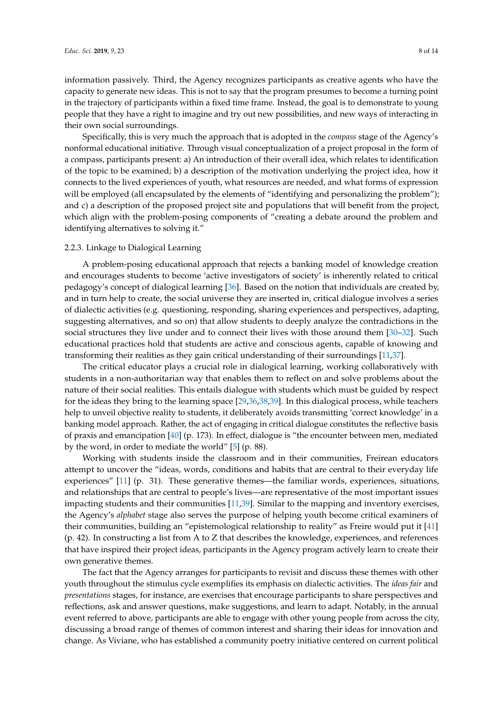information passively. Third, the Agency recognizes participants as creative agents who have the capacity to generate new ideas. This is not to say that the program presumes to become a turning point in the trajectory of participants within a fixed time frame. Instead, the goal is to demonstrate to young people that they have a right to imagine and try out new possibilities, and new ways of interacting in their own social surroundings.

Specifically, this is very much the approach that is adopted in the *compass* stage of the Agency's nonformal educational initiative. Through visual conceptualization of a project proposal in the form of a compass, participants present: a) An introduction of their overall idea, which relates to identification of the topic to be examined; b) a description of the motivation underlying the project idea, how it connects to the lived experiences of youth, what resources are needed, and what forms of expression will be employed (all encapsulated by the elements of "identifying and personalizing the problem"); and c) a description of the proposed project site and populations that will benefit from the project, which align with the problem-posing components of "creating a debate around the problem and identifying alternatives to solving it."

#### 2.2.3. Linkage to Dialogical Learning

A problem-posing educational approach that rejects a banking model of knowledge creation and encourages students to become 'active investigators of society' is inherently related to critical pedagogy's concept of dialogical learning [\[36\]](#page-13-8). Based on the notion that individuals are created by, and in turn help to create, the social universe they are inserted in, critical dialogue involves a series of dialectic activities (e.g. questioning, responding, sharing experiences and perspectives, adapting, suggesting alternatives, and so on) that allow students to deeply analyze the contradictions in the social structures they live under and to connect their lives with those around them [\[30–](#page-13-2)[32\]](#page-13-4). Such educational practices hold that students are active and conscious agents, capable of knowing and transforming their realities as they gain critical understanding of their surroundings [\[11,](#page-12-9)[37\]](#page-13-9).

The critical educator plays a crucial role in dialogical learning, working collaboratively with students in a non-authoritarian way that enables them to reflect on and solve problems about the nature of their social realities. This entails dialogue with students which must be guided by respect for the ideas they bring to the learning space [\[29](#page-13-1)[,36](#page-13-8)[,38](#page-13-10)[,39\]](#page-13-11). In this dialogical process, while teachers help to unveil objective reality to students, it deliberately avoids transmitting 'correct knowledge' in a banking model approach. Rather, the act of engaging in critical dialogue constitutes the reflective basis of praxis and emancipation [\[40\]](#page-13-12) (p. 173). In effect, dialogue is "the encounter between men, mediated by the word, in order to mediate the world" [\[5\]](#page-12-4) (p. 88).

Working with students inside the classroom and in their communities, Freirean educators attempt to uncover the "ideas, words, conditions and habits that are central to their everyday life experiences" [\[11\]](#page-12-9) (p. 31). These generative themes—the familiar words, experiences, situations, and relationships that are central to people's lives—are representative of the most important issues impacting students and their communities [\[11](#page-12-9)[,39\]](#page-13-11). Similar to the mapping and inventory exercises, the Agency's *alphabet* stage also serves the purpose of helping youth become critical examiners of their communities, building an "epistemological relationship to reality" as Freire would put it [\[41\]](#page-13-13) (p. 42). In constructing a list from A to Z that describes the knowledge, experiences, and references that have inspired their project ideas, participants in the Agency program actively learn to create their own generative themes.

The fact that the Agency arranges for participants to revisit and discuss these themes with other youth throughout the stimulus cycle exemplifies its emphasis on dialectic activities. The *ideas fair* and *presentations* stages, for instance, are exercises that encourage participants to share perspectives and reflections, ask and answer questions, make suggestions, and learn to adapt. Notably, in the annual event referred to above, participants are able to engage with other young people from across the city, discussing a broad range of themes of common interest and sharing their ideas for innovation and change. As Viviane, who has established a community poetry initiative centered on current political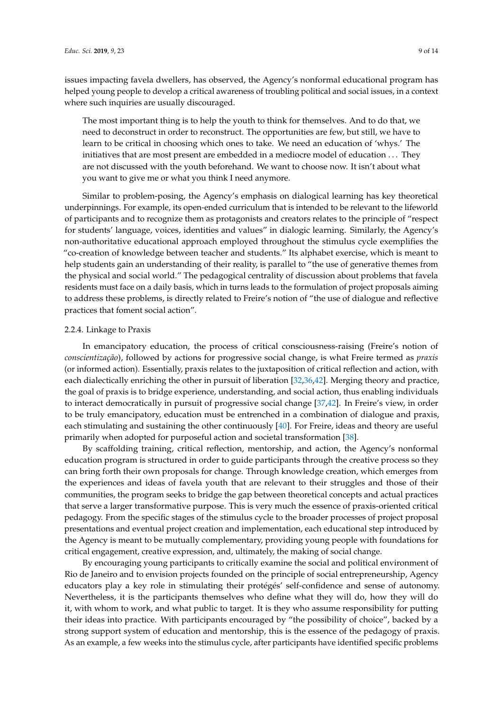issues impacting favela dwellers, has observed, the Agency's nonformal educational program has helped young people to develop a critical awareness of troubling political and social issues, in a context where such inquiries are usually discouraged.

The most important thing is to help the youth to think for themselves. And to do that, we need to deconstruct in order to reconstruct. The opportunities are few, but still, we have to learn to be critical in choosing which ones to take. We need an education of 'whys.' The initiatives that are most present are embedded in a mediocre model of education . . . They are not discussed with the youth beforehand. We want to choose now. It isn't about what you want to give me or what you think I need anymore.

Similar to problem-posing, the Agency's emphasis on dialogical learning has key theoretical underpinnings. For example, its open-ended curriculum that is intended to be relevant to the lifeworld of participants and to recognize them as protagonists and creators relates to the principle of "respect for students' language, voices, identities and values" in dialogic learning. Similarly, the Agency's non-authoritative educational approach employed throughout the stimulus cycle exemplifies the "co-creation of knowledge between teacher and students." Its alphabet exercise, which is meant to help students gain an understanding of their reality, is parallel to "the use of generative themes from the physical and social world." The pedagogical centrality of discussion about problems that favela residents must face on a daily basis, which in turns leads to the formulation of project proposals aiming to address these problems, is directly related to Freire's notion of "the use of dialogue and reflective practices that foment social action".

#### 2.2.4. Linkage to Praxis

In emancipatory education, the process of critical consciousness-raising (Freire's notion of *conscientização*), followed by actions for progressive social change, is what Freire termed as *praxis* (or informed action). Essentially, praxis relates to the juxtaposition of critical reflection and action, with each dialectically enriching the other in pursuit of liberation [\[32](#page-13-4)[,36](#page-13-8)[,42\]](#page-13-14). Merging theory and practice, the goal of praxis is to bridge experience, understanding, and social action, thus enabling individuals to interact democratically in pursuit of progressive social change [\[37](#page-13-9)[,42\]](#page-13-14). In Freire's view, in order to be truly emancipatory, education must be entrenched in a combination of dialogue and praxis, each stimulating and sustaining the other continuously [\[40\]](#page-13-12). For Freire, ideas and theory are useful primarily when adopted for purposeful action and societal transformation [\[38\]](#page-13-10).

By scaffolding training, critical reflection, mentorship, and action, the Agency's nonformal education program is structured in order to guide participants through the creative process so they can bring forth their own proposals for change. Through knowledge creation, which emerges from the experiences and ideas of favela youth that are relevant to their struggles and those of their communities, the program seeks to bridge the gap between theoretical concepts and actual practices that serve a larger transformative purpose. This is very much the essence of praxis-oriented critical pedagogy. From the specific stages of the stimulus cycle to the broader processes of project proposal presentations and eventual project creation and implementation, each educational step introduced by the Agency is meant to be mutually complementary, providing young people with foundations for critical engagement, creative expression, and, ultimately, the making of social change.

By encouraging young participants to critically examine the social and political environment of Rio de Janeiro and to envision projects founded on the principle of social entrepreneurship, Agency educators play a key role in stimulating their protégés' self-confidence and sense of autonomy. Nevertheless, it is the participants themselves who define what they will do, how they will do it, with whom to work, and what public to target. It is they who assume responsibility for putting their ideas into practice. With participants encouraged by "the possibility of choice", backed by a strong support system of education and mentorship, this is the essence of the pedagogy of praxis. As an example, a few weeks into the stimulus cycle, after participants have identified specific problems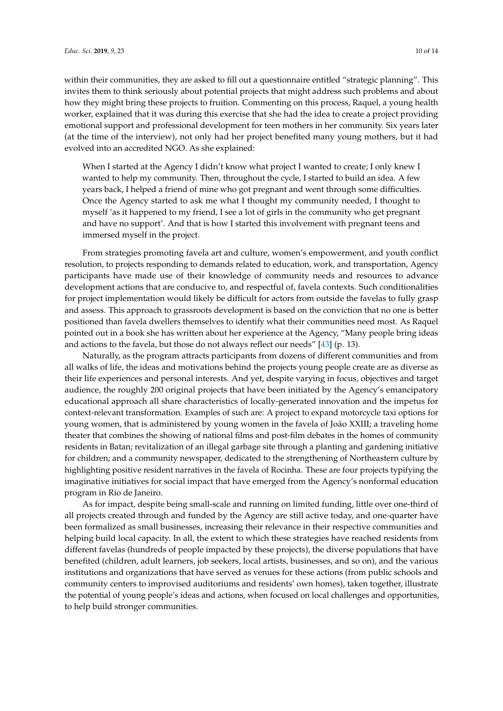within their communities, they are asked to fill out a questionnaire entitled "strategic planning". This invites them to think seriously about potential projects that might address such problems and about how they might bring these projects to fruition. Commenting on this process, Raquel, a young health worker, explained that it was during this exercise that she had the idea to create a project providing emotional support and professional development for teen mothers in her community. Six years later (at the time of the interview), not only had her project benefited many young mothers, but it had evolved into an accredited NGO. As she explained:

When I started at the Agency I didn't know what project I wanted to create; I only knew I wanted to help my community. Then, throughout the cycle, I started to build an idea. A few years back, I helped a friend of mine who got pregnant and went through some difficulties. Once the Agency started to ask me what I thought my community needed, I thought to myself 'as it happened to my friend, I see a lot of girls in the community who get pregnant and have no support'. And that is how I started this involvement with pregnant teens and immersed myself in the project.

From strategies promoting favela art and culture, women's empowerment, and youth conflict resolution, to projects responding to demands related to education, work, and transportation, Agency participants have made use of their knowledge of community needs and resources to advance development actions that are conducive to, and respectful of, favela contexts. Such conditionalities for project implementation would likely be difficult for actors from outside the favelas to fully grasp and assess. This approach to grassroots development is based on the conviction that no one is better positioned than favela dwellers themselves to identify what their communities need most. As Raquel pointed out in a book she has written about her experience at the Agency, "Many people bring ideas and actions to the favela, but those do not always reflect our needs" [\[43\]](#page-13-15) (p. 13).

Naturally, as the program attracts participants from dozens of different communities and from all walks of life, the ideas and motivations behind the projects young people create are as diverse as their life experiences and personal interests. And yet, despite varying in focus, objectives and target audience, the roughly 200 original projects that have been initiated by the Agency's emancipatory educational approach all share characteristics of locally-generated innovation and the impetus for context-relevant transformation. Examples of such are: A project to expand motorcycle taxi options for young women, that is administered by young women in the favela of João XXIII; a traveling home theater that combines the showing of national films and post-film debates in the homes of community residents in Batan; revitalization of an illegal garbage site through a planting and gardening initiative for children; and a community newspaper, dedicated to the strengthening of Northeastern culture by highlighting positive resident narratives in the favela of Rocinha. These are four projects typifying the imaginative initiatives for social impact that have emerged from the Agency's nonformal education program in Rio de Janeiro.

As for impact, despite being small-scale and running on limited funding, little over one-third of all projects created through and funded by the Agency are still active today, and one-quarter have been formalized as small businesses, increasing their relevance in their respective communities and helping build local capacity. In all, the extent to which these strategies have reached residents from different favelas (hundreds of people impacted by these projects), the diverse populations that have benefited (children, adult learners, job seekers, local artists, businesses, and so on), and the various institutions and organizations that have served as venues for these actions (from public schools and community centers to improvised auditoriums and residents' own homes), taken together, illustrate the potential of young people's ideas and actions, when focused on local challenges and opportunities, to help build stronger communities.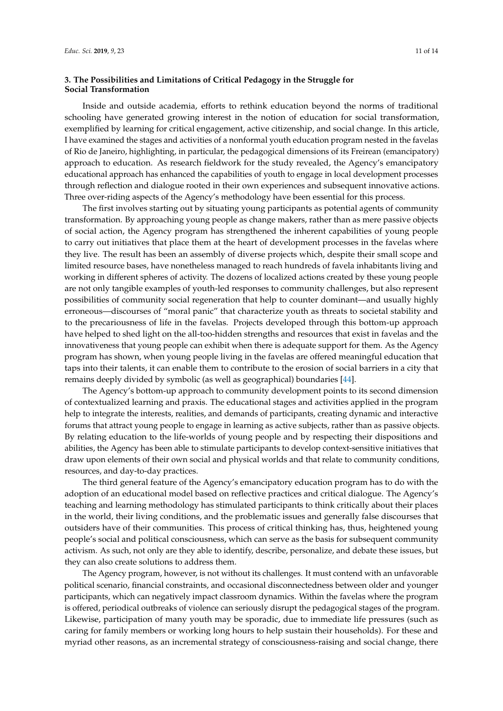## **3. The Possibilities and Limitations of Critical Pedagogy in the Struggle for Social Transformation**

Inside and outside academia, efforts to rethink education beyond the norms of traditional schooling have generated growing interest in the notion of education for social transformation, exemplified by learning for critical engagement, active citizenship, and social change. In this article, I have examined the stages and activities of a nonformal youth education program nested in the favelas of Rio de Janeiro, highlighting, in particular, the pedagogical dimensions of its Freirean (emancipatory) approach to education. As research fieldwork for the study revealed, the Agency's emancipatory educational approach has enhanced the capabilities of youth to engage in local development processes through reflection and dialogue rooted in their own experiences and subsequent innovative actions. Three over-riding aspects of the Agency's methodology have been essential for this process.

The first involves starting out by situating young participants as potential agents of community transformation. By approaching young people as change makers, rather than as mere passive objects of social action, the Agency program has strengthened the inherent capabilities of young people to carry out initiatives that place them at the heart of development processes in the favelas where they live. The result has been an assembly of diverse projects which, despite their small scope and limited resource bases, have nonetheless managed to reach hundreds of favela inhabitants living and working in different spheres of activity. The dozens of localized actions created by these young people are not only tangible examples of youth-led responses to community challenges, but also represent possibilities of community social regeneration that help to counter dominant—and usually highly erroneous—discourses of "moral panic" that characterize youth as threats to societal stability and to the precariousness of life in the favelas. Projects developed through this bottom-up approach have helped to shed light on the all-too-hidden strengths and resources that exist in favelas and the innovativeness that young people can exhibit when there is adequate support for them. As the Agency program has shown, when young people living in the favelas are offered meaningful education that taps into their talents, it can enable them to contribute to the erosion of social barriers in a city that remains deeply divided by symbolic (as well as geographical) boundaries [\[44\]](#page-13-16).

The Agency's bottom-up approach to community development points to its second dimension of contextualized learning and praxis. The educational stages and activities applied in the program help to integrate the interests, realities, and demands of participants, creating dynamic and interactive forums that attract young people to engage in learning as active subjects, rather than as passive objects. By relating education to the life-worlds of young people and by respecting their dispositions and abilities, the Agency has been able to stimulate participants to develop context-sensitive initiatives that draw upon elements of their own social and physical worlds and that relate to community conditions, resources, and day-to-day practices.

The third general feature of the Agency's emancipatory education program has to do with the adoption of an educational model based on reflective practices and critical dialogue. The Agency's teaching and learning methodology has stimulated participants to think critically about their places in the world, their living conditions, and the problematic issues and generally false discourses that outsiders have of their communities. This process of critical thinking has, thus, heightened young people's social and political consciousness, which can serve as the basis for subsequent community activism. As such, not only are they able to identify, describe, personalize, and debate these issues, but they can also create solutions to address them.

The Agency program, however, is not without its challenges. It must contend with an unfavorable political scenario, financial constraints, and occasional disconnectedness between older and younger participants, which can negatively impact classroom dynamics. Within the favelas where the program is offered, periodical outbreaks of violence can seriously disrupt the pedagogical stages of the program. Likewise, participation of many youth may be sporadic, due to immediate life pressures (such as caring for family members or working long hours to help sustain their households). For these and myriad other reasons, as an incremental strategy of consciousness-raising and social change, there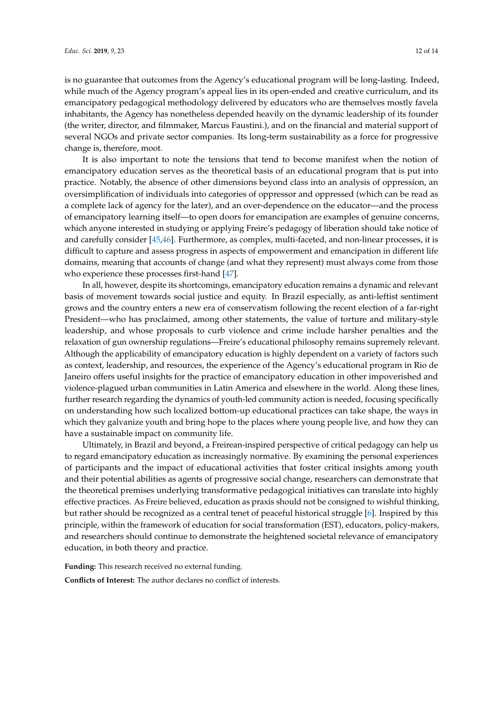is no guarantee that outcomes from the Agency's educational program will be long-lasting. Indeed, while much of the Agency program's appeal lies in its open-ended and creative curriculum, and its emancipatory pedagogical methodology delivered by educators who are themselves mostly favela inhabitants, the Agency has nonetheless depended heavily on the dynamic leadership of its founder (the writer, director, and filmmaker, Marcus Faustini.), and on the financial and material support of several NGOs and private sector companies. Its long-term sustainability as a force for progressive change is, therefore, moot.

It is also important to note the tensions that tend to become manifest when the notion of emancipatory education serves as the theoretical basis of an educational program that is put into practice. Notably, the absence of other dimensions beyond class into an analysis of oppression, an oversimplification of individuals into categories of oppressor and oppressed (which can be read as a complete lack of agency for the later), and an over-dependence on the educator—and the process of emancipatory learning itself—to open doors for emancipation are examples of genuine concerns, which anyone interested in studying or applying Freire's pedagogy of liberation should take notice of and carefully consider [\[45](#page-13-17)[,46\]](#page-13-18). Furthermore, as complex, multi-faceted, and non-linear processes, it is difficult to capture and assess progress in aspects of empowerment and emancipation in different life domains, meaning that accounts of change (and what they represent) must always come from those who experience these processes first-hand [\[47\]](#page-13-19).

In all, however, despite its shortcomings, emancipatory education remains a dynamic and relevant basis of movement towards social justice and equity. In Brazil especially, as anti-leftist sentiment grows and the country enters a new era of conservatism following the recent election of a far-right President—who has proclaimed, among other statements, the value of torture and military-style leadership, and whose proposals to curb violence and crime include harsher penalties and the relaxation of gun ownership regulations—Freire's educational philosophy remains supremely relevant. Although the applicability of emancipatory education is highly dependent on a variety of factors such as context, leadership, and resources, the experience of the Agency's educational program in Rio de Janeiro offers useful insights for the practice of emancipatory education in other impoverished and violence-plagued urban communities in Latin America and elsewhere in the world. Along these lines, further research regarding the dynamics of youth-led community action is needed, focusing specifically on understanding how such localized bottom-up educational practices can take shape, the ways in which they galvanize youth and bring hope to the places where young people live, and how they can have a sustainable impact on community life.

Ultimately, in Brazil and beyond, a Freirean-inspired perspective of critical pedagogy can help us to regard emancipatory education as increasingly normative. By examining the personal experiences of participants and the impact of educational activities that foster critical insights among youth and their potential abilities as agents of progressive social change, researchers can demonstrate that the theoretical premises underlying transformative pedagogical initiatives can translate into highly effective practices. As Freire believed, education as praxis should not be consigned to wishful thinking, but rather should be recognized as a central tenet of peaceful historical struggle [\[6\]](#page-12-5). Inspired by this principle, within the framework of education for social transformation (EST), educators, policy-makers, and researchers should continue to demonstrate the heightened societal relevance of emancipatory education, in both theory and practice.

**Funding:** This research received no external funding.

**Conflicts of Interest:** The author declares no conflict of interests.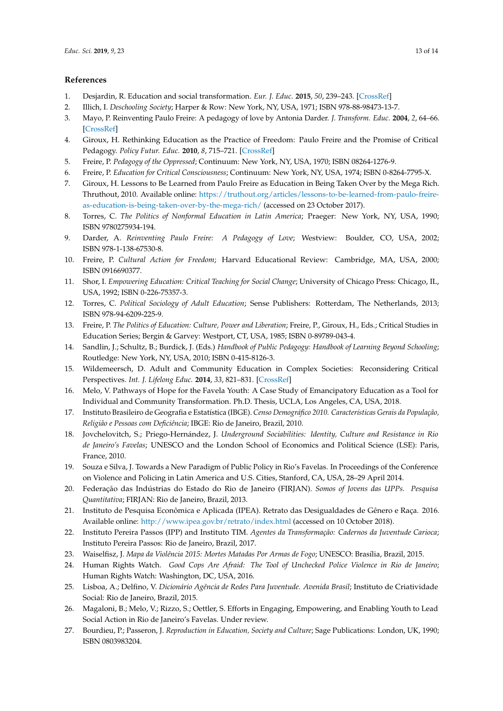### **References**

- <span id="page-12-0"></span>1. Desjardin, R. Education and social transformation. *Eur. J. Educ.* **2015**, *50*, 239–243. [\[CrossRef\]](http://dx.doi.org/10.1111/ejed.12140)
- <span id="page-12-1"></span>2. Illich, I. *Deschooling Society*; Harper & Row: New York, NY, USA, 1971; ISBN 978-88-98473-13-7.
- <span id="page-12-2"></span>3. Mayo, P. Reinventing Paulo Freire: A pedagogy of love by Antonia Darder. *J. Transform. Educ.* **2004**, *2*, 64–66. [\[CrossRef\]](http://dx.doi.org/10.1177/1541344603259315)
- <span id="page-12-3"></span>4. Giroux, H. Rethinking Education as the Practice of Freedom: Paulo Freire and the Promise of Critical Pedagogy. *Policy Futur. Educ.* **2010**, *8*, 715–721. [\[CrossRef\]](http://dx.doi.org/10.2304/pfie.2010.8.6.715)
- <span id="page-12-4"></span>5. Freire, P. *Pedagogy of the Oppressed*; Continuum: New York, NY, USA, 1970; ISBN 08264-1276-9.
- <span id="page-12-5"></span>6. Freire, P. *Education for Critical Consciousness*; Continuum: New York, NY, USA, 1974; ISBN 0-8264-7795-X.
- <span id="page-12-6"></span>7. Giroux, H. Lessons to Be Learned from Paulo Freire as Education in Being Taken Over by the Mega Rich. Thruthout, 2010. Available online: [https://truthout.org/articles/lessons-to-be-learned-from-paulo-freire](https://truthout.org/articles/lessons-to-be-learned-from-paulo-freire-as-education-is-being-taken-over-by-the-mega-rich/)[as-education-is-being-taken-over-by-the-mega-rich/](https://truthout.org/articles/lessons-to-be-learned-from-paulo-freire-as-education-is-being-taken-over-by-the-mega-rich/) (accessed on 23 October 2017).
- 8. Torres, C. *The Politics of Nonformal Education in Latin America*; Praeger: New York, NY, USA, 1990; ISBN 9780275934-194.
- <span id="page-12-7"></span>9. Darder, A. *Reinventing Paulo Freire: A Pedagogy of Love*; Westview: Boulder, CO, USA, 2002; ISBN 978-1-138-67530-8.
- <span id="page-12-8"></span>10. Freire, P. *Cultural Action for Freedom*; Harvard Educational Review: Cambridge, MA, USA, 2000; ISBN 0916690377.
- <span id="page-12-9"></span>11. Shor, I. *Empowering Education: Critical Teaching for Social Change*; University of Chicago Press: Chicago, IL, USA, 1992; ISBN 0-226-75357-3.
- 12. Torres, C. *Political Sociology of Adult Education*; Sense Publishers: Rotterdam, The Netherlands, 2013; ISBN 978-94-6209-225-9.
- <span id="page-12-10"></span>13. Freire, P. *The Politics of Education: Culture, Power and Liberation*; Freire, P., Giroux, H., Eds.; Critical Studies in Education Series; Bergin & Garvey: Westport, CT, USA, 1985; ISBN 0-89789-043-4.
- <span id="page-12-11"></span>14. Sandlin, J.; Schultz, B.; Burdick, J. (Eds.) *Handbook of Public Pedagogy: Handbook of Learning Beyond Schooling*; Routledge: New York, NY, USA, 2010; ISBN 0-415-8126-3.
- <span id="page-12-12"></span>15. Wildemeersch, D. Adult and Community Education in Complex Societies: Reconsidering Critical Perspectives. *Int. J. Lifelong Educ.* **2014**, *33*, 821–831. [\[CrossRef\]](http://dx.doi.org/10.1080/02601370.2014.973458)
- <span id="page-12-13"></span>16. Melo, V. Pathways of Hope for the Favela Youth: A Case Study of Emancipatory Education as a Tool for Individual and Community Transformation. Ph.D. Thesis, UCLA, Los Angeles, CA, USA, 2018.
- <span id="page-12-14"></span>17. Instituto Brasileiro de Geografia e Estatística (IBGE). *Censo Demográfico 2010. Características Gerais da População, Religião e Pessoas com Deficiência*; IBGE: Rio de Janeiro, Brazil, 2010.
- 18. Jovchelovitch, S.; Priego-Hernández, J. *Underground Sociabilities: Identity, Culture and Resistance in Rio de Janeiro's Favelas*; UNESCO and the London School of Economics and Political Science (LSE): Paris, France, 2010.
- <span id="page-12-15"></span>19. Souza e Silva, J. Towards a New Paradigm of Public Policy in Rio's Favelas. In Proceedings of the Conference on Violence and Policing in Latin America and U.S. Cities, Stanford, CA, USA, 28–29 April 2014.
- <span id="page-12-16"></span>20. Federação das Indústrias do Estado do Rio de Janeiro (FIRJAN). *Somos of Jovens das UPPs. Pesquisa Quantitativa*; FIRJAN: Rio de Janeiro, Brazil, 2013.
- 21. Instituto de Pesquisa Econômica e Aplicada (IPEA). Retrato das Desigualdades de Gênero e Raça. 2016. Available online: <http://www.ipea.gov.br/retrato/index.html> (accessed on 10 October 2018).
- <span id="page-12-19"></span>22. Instituto Pereira Passos (IPP) and Instituto TIM. *Agentes da Transformação: Cadernos da Juventude Carioca*; Instituto Pereira Passos: Rio de Janeiro, Brazil, 2017.
- <span id="page-12-17"></span>23. Waiselfisz, J. *Mapa da Violência 2015: Mortes Matadas Por Armas de Fogo*; UNESCO: Brasília, Brazil, 2015.
- <span id="page-12-18"></span>24. Human Rights Watch. *Good Cops Are Afraid: The Tool of Unchecked Police Violence in Rio de Janeiro*; Human Rights Watch: Washington, DC, USA, 2016.
- <span id="page-12-20"></span>25. Lisboa, A.; Delfino, V. *Dicionário Agência de Redes Para Juventude. Avenida Brasil*; Instituto de Criatividade Social: Rio de Janeiro, Brazil, 2015.
- <span id="page-12-21"></span>26. Magaloni, B.; Melo, V.; Rizzo, S.; Oettler, S. Efforts in Engaging, Empowering, and Enabling Youth to Lead Social Action in Rio de Janeiro's Favelas. Under review.
- <span id="page-12-22"></span>27. Bourdieu, P.; Passeron, J. *Reproduction in Education, Society and Culture*; Sage Publications: London, UK, 1990; ISBN 0803983204.